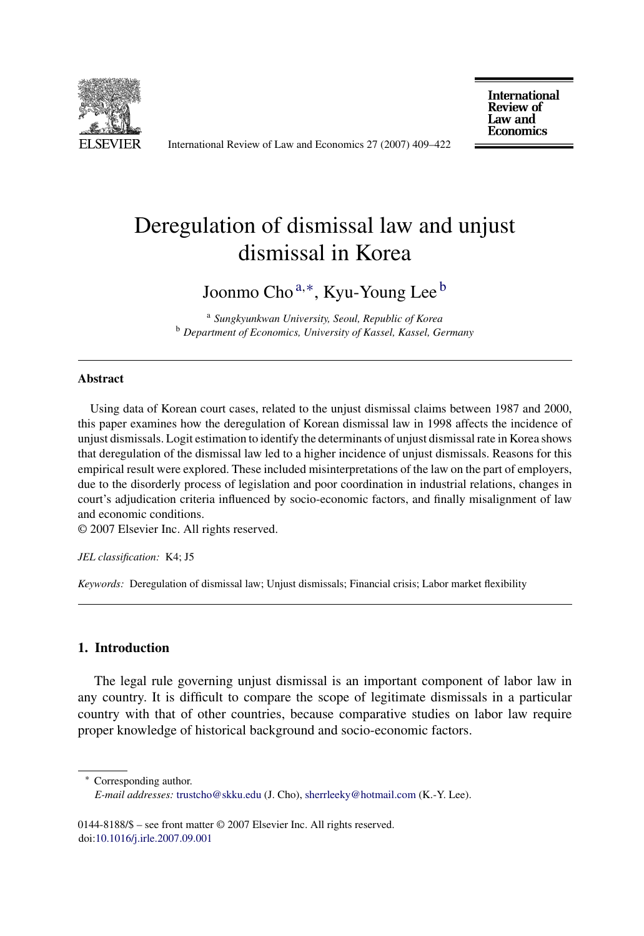

International Review of Law and Economics 27 (2007) 409–422

**International Review of** Law and **Economics** 

## Deregulation of dismissal law and unjust dismissal in Korea

Joonmo Cho <sup>a</sup>,∗, Kyu-Young Lee <sup>b</sup>

<sup>a</sup> *Sungkyunkwan University, Seoul, Republic of Korea* <sup>b</sup> *Department of Economics, University of Kassel, Kassel, Germany*

## **Abstract**

Using data of Korean court cases, related to the unjust dismissal claims between 1987 and 2000, this paper examines how the deregulation of Korean dismissal law in 1998 affects the incidence of unjust dismissals. Logit estimation to identify the determinants of unjust dismissal rate in Korea shows that deregulation of the dismissal law led to a higher incidence of unjust dismissals. Reasons for this empirical result were explored. These included misinterpretations of the law on the part of employers, due to the disorderly process of legislation and poor coordination in industrial relations, changes in court's adjudication criteria influenced by socio-economic factors, and finally misalignment of law and economic conditions.

© 2007 Elsevier Inc. All rights reserved.

*JEL classification:* K4; J5

*Keywords:* Deregulation of dismissal law; Unjust dismissals; Financial crisis; Labor market flexibility

## **1. Introduction**

The legal rule governing unjust dismissal is an important component of labor law in any country. It is difficult to compare the scope of legitimate dismissals in a particular country with that of other countries, because comparative studies on labor law require proper knowledge of historical background and socio-economic factors.

∗ Corresponding author.

*E-mail addresses:* [trustcho@skku.edu](mailto:trustcho@skku.edu) (J. Cho), [sherrleeky@hotmail.com](mailto:sherrleeky@hotmail.com) (K.-Y. Lee).

<sup>0144-8188/\$ –</sup> see front matter © 2007 Elsevier Inc. All rights reserved. doi[:10.1016/j.irle.2007.09.001](dx.doi.org/10.1016/j.irle.2007.09.001)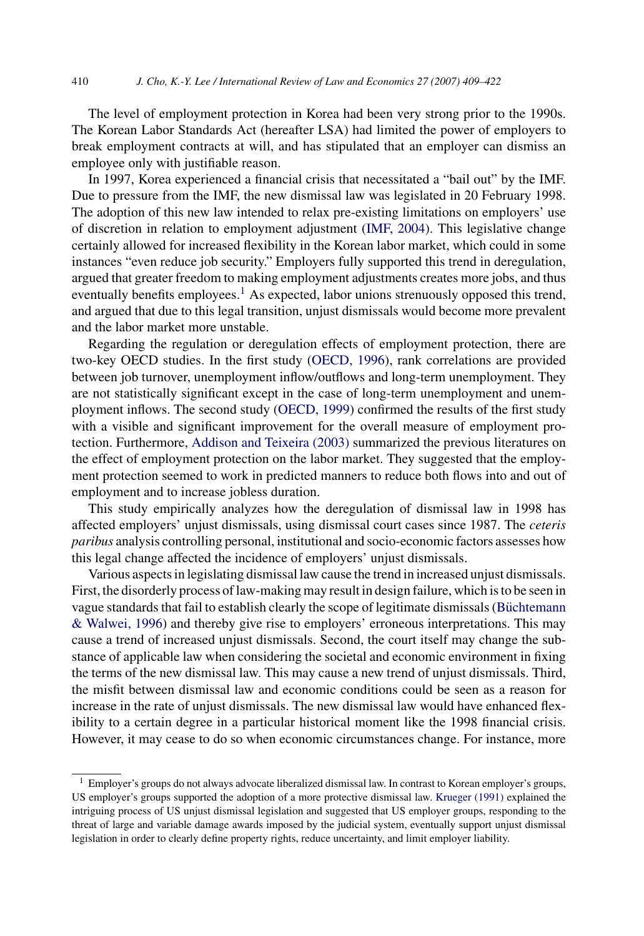The level of employment protection in Korea had been very strong prior to the 1990s. The Korean Labor Standards Act (hereafter LSA) had limited the power of employers to break employment contracts at will, and has stipulated that an employer can dismiss an employee only with justifiable reason.

In 1997, Korea experienced a financial crisis that necessitated a "bail out" by the IMF. Due to pressure from the IMF, the new dismissal law was legislated in 20 February 1998. The adoption of this new law intended to relax pre-existing limitations on employers' use of discretion in relation to employment adjustment ([IMF, 2004\).](#page--1-0) This legislative change certainly allowed for increased flexibility in the Korean labor market, which could in some instances "even reduce job security." Employers fully supported this trend in deregulation, argued that greater freedom to making employment adjustments creates more jobs, and thus eventually benefits employees.<sup>1</sup> As expected, labor unions strenuously opposed this trend, and argued that due to this legal transition, unjust dismissals would become more prevalent and the labor market more unstable.

Regarding the regulation or deregulation effects of employment protection, there are two-key OECD studies. In the first study [\(OECD, 1996\),](#page--1-0) rank correlations are provided between job turnover, unemployment inflow/outflows and long-term unemployment. They are not statistically significant except in the case of long-term unemployment and unemployment inflows. The second study ([OECD, 1999\)](#page--1-0) confirmed the results of the first study with a visible and significant improvement for the overall measure of employment protection. Furthermore, [Addison and Teixeira \(2003\)](#page--1-0) summarized the previous literatures on the effect of employment protection on the labor market. They suggested that the employment protection seemed to work in predicted manners to reduce both flows into and out of employment and to increase jobless duration.

This study empirically analyzes how the deregulation of dismissal law in 1998 has affected employers' unjust dismissals, using dismissal court cases since 1987. The *ceteris paribus* analysis controlling personal, institutional and socio-economic factors assesses how this legal change affected the incidence of employers' unjust dismissals.

Various aspects in legislating dismissal law cause the trend in increased unjust dismissals. First, the disorderly process of law-making may result in design failure, which is to be seen in vague standards that fail to establish clearly the scope of legitimate dismissals (Büchtemann [& Walwei, 1996\)](#page--1-0) and thereby give rise to employers' erroneous interpretations. This may cause a trend of increased unjust dismissals. Second, the court itself may change the substance of applicable law when considering the societal and economic environment in fixing the terms of the new dismissal law. This may cause a new trend of unjust dismissals. Third, the misfit between dismissal law and economic conditions could be seen as a reason for increase in the rate of unjust dismissals. The new dismissal law would have enhanced flexibility to a certain degree in a particular historical moment like the 1998 financial crisis. However, it may cease to do so when economic circumstances change. For instance, more

<sup>&</sup>lt;sup>1</sup> Employer's groups do not always advocate liberalized dismissal law. In contrast to Korean employer's groups, US employer's groups supported the adoption of a more protective dismissal law. [Krueger \(1991\)](#page--1-0) explained the intriguing process of US unjust dismissal legislation and suggested that US employer groups, responding to the threat of large and variable damage awards imposed by the judicial system, eventually support unjust dismissal legislation in order to clearly define property rights, reduce uncertainty, and limit employer liability.